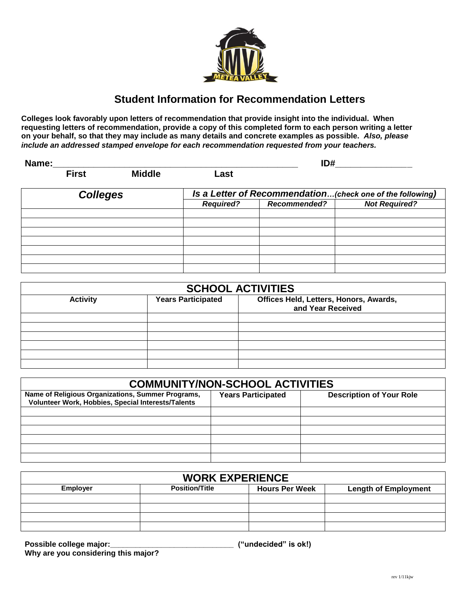

# **Student Information for Recommendation Letters**

**Colleges look favorably upon letters of recommendation that provide insight into the individual. When requesting letters of recommendation, provide a copy of this completed form to each person writing a letter on your behalf, so that they may include as many details and concrete examples as possible.** *Also, please include an addressed stamped envelope for each recommendation requested from your teachers.*

| Name:           |              |                  |                                                           | ID#                  |  |  |
|-----------------|--------------|------------------|-----------------------------------------------------------|----------------------|--|--|
|                 | <b>First</b> | <b>Middle</b>    | Last                                                      |                      |  |  |
| <b>Colleges</b> |              |                  | Is a Letter of Recommendation(check one of the following) |                      |  |  |
|                 |              | <b>Required?</b> | <b>Recommended?</b>                                       | <b>Not Required?</b> |  |  |
|                 |              |                  |                                                           |                      |  |  |
|                 |              |                  |                                                           |                      |  |  |
|                 |              |                  |                                                           |                      |  |  |
|                 |              |                  |                                                           |                      |  |  |
|                 |              |                  |                                                           |                      |  |  |
|                 |              |                  |                                                           |                      |  |  |
|                 |              |                  |                                                           |                      |  |  |

| <b>SCHOOL ACTIVITIES</b> |                           |                                                             |  |  |  |  |  |
|--------------------------|---------------------------|-------------------------------------------------------------|--|--|--|--|--|
| <b>Activity</b>          | <b>Years Participated</b> | Offices Held, Letters, Honors, Awards,<br>and Year Received |  |  |  |  |  |
|                          |                           |                                                             |  |  |  |  |  |
|                          |                           |                                                             |  |  |  |  |  |
|                          |                           |                                                             |  |  |  |  |  |
|                          |                           |                                                             |  |  |  |  |  |
|                          |                           |                                                             |  |  |  |  |  |
|                          |                           |                                                             |  |  |  |  |  |

| <b>COMMUNITY/NON-SCHOOL ACTIVITIES</b>                                                                  |                           |                                 |  |  |  |  |  |
|---------------------------------------------------------------------------------------------------------|---------------------------|---------------------------------|--|--|--|--|--|
| Name of Religious Organizations, Summer Programs,<br>Volunteer Work, Hobbies, Special Interests/Talents | <b>Years Participated</b> | <b>Description of Your Role</b> |  |  |  |  |  |
|                                                                                                         |                           |                                 |  |  |  |  |  |
|                                                                                                         |                           |                                 |  |  |  |  |  |
|                                                                                                         |                           |                                 |  |  |  |  |  |
|                                                                                                         |                           |                                 |  |  |  |  |  |
|                                                                                                         |                           |                                 |  |  |  |  |  |
|                                                                                                         |                           |                                 |  |  |  |  |  |

| <b>WORK EXPERIENCE</b> |                       |                       |                             |  |  |  |  |  |
|------------------------|-----------------------|-----------------------|-----------------------------|--|--|--|--|--|
| <b>Employer</b>        | <b>Position/Title</b> | <b>Hours Per Week</b> | <b>Length of Employment</b> |  |  |  |  |  |
|                        |                       |                       |                             |  |  |  |  |  |
|                        |                       |                       |                             |  |  |  |  |  |
|                        |                       |                       |                             |  |  |  |  |  |
|                        |                       |                       |                             |  |  |  |  |  |

**Possible college major:\_\_\_\_\_\_\_\_\_\_\_\_\_\_\_\_\_\_\_\_\_\_\_\_\_\_\_\_\_ ("undecided" is ok!) Why are you considering this major?**